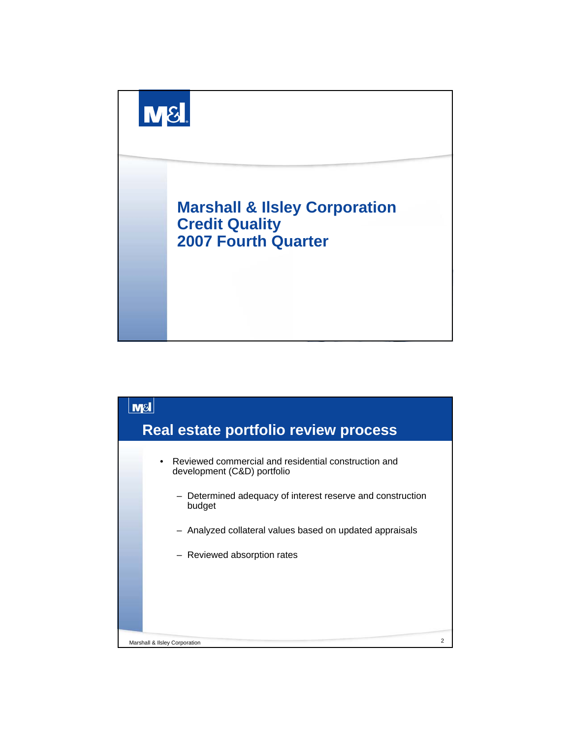

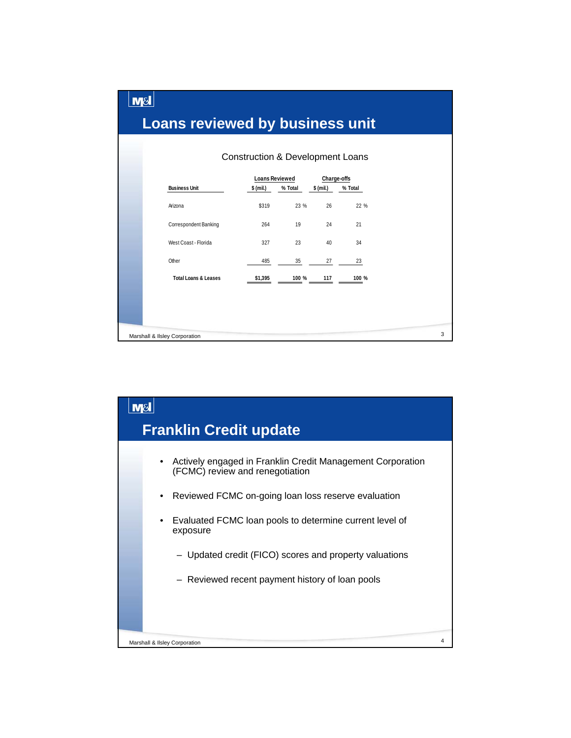|  | <b>Loans reviewed by business unit</b> |                                               |       |                          |         |  |
|--|----------------------------------------|-----------------------------------------------|-------|--------------------------|---------|--|
|  |                                        |                                               |       |                          |         |  |
|  | <b>Business Unit</b>                   | <b>Loans Reviewed</b><br>\$ (mil.)<br>% Total |       | Charge-offs<br>\$ (mil.) | % Total |  |
|  | Arizona                                | \$319                                         | 23 %  | 26                       | 22 %    |  |
|  | Correspondent Banking                  | 264                                           | 19    | 24                       | 21      |  |
|  | West Coast - Florida                   | 327                                           | 23    | 40                       | 34      |  |
|  | Other                                  | 485                                           | 35    | 27                       | 23      |  |
|  | <b>Total Loans &amp; Leases</b>        | \$1,395                                       | 100 % | 117                      | 100 %   |  |
|  |                                        |                                               |       |                          |         |  |
|  |                                        |                                               |       |                          |         |  |

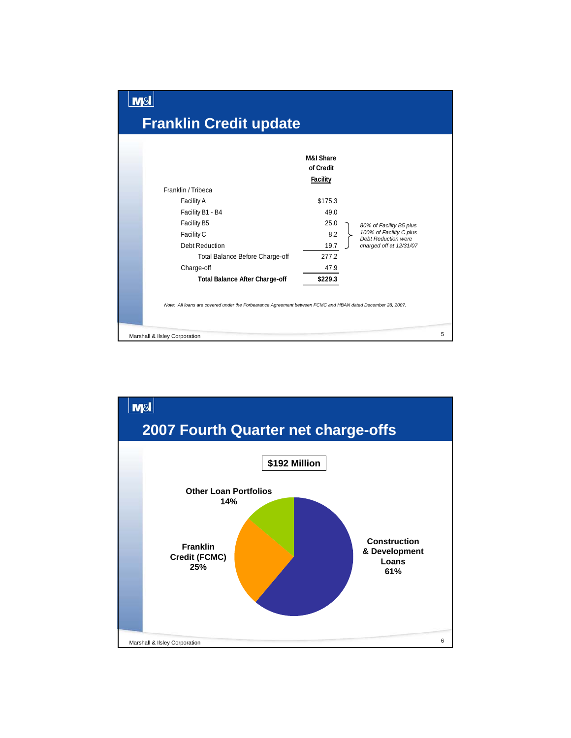

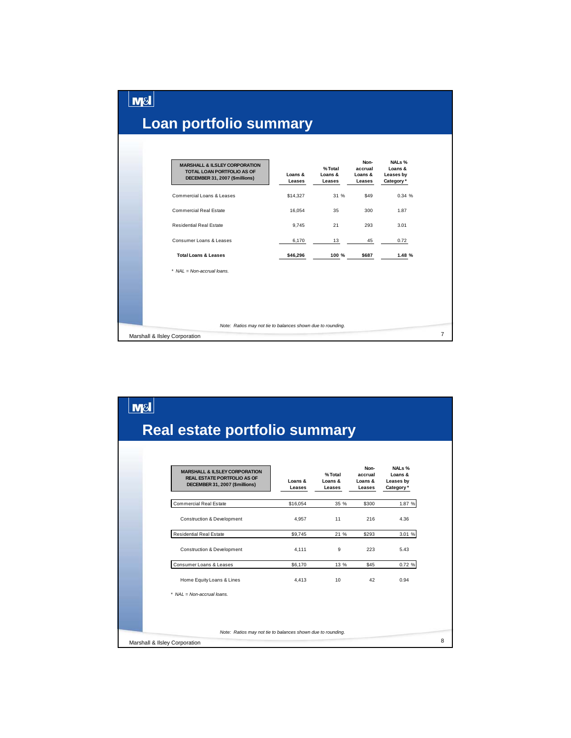| <b>MARSHALL &amp; ILSLEY CORPORATION</b><br><b>TOTAL LOAN PORTFOLIO AS OF</b><br>DECEMBER 31, 2007 (\$millions) | Loans &<br>Leases | % Total<br>Loans &<br>Leases | Non-<br>accrual<br>Loans &<br>Leases | NALs %<br>Loans &<br>Leases by<br>Category* |
|-----------------------------------------------------------------------------------------------------------------|-------------------|------------------------------|--------------------------------------|---------------------------------------------|
| Commercial Loans & Leases                                                                                       | \$14,327          | 31 %                         | \$49                                 | 0.34%                                       |
| <b>Commercial Real Estate</b>                                                                                   | 16,054            | 35                           | 300                                  | 1.87                                        |
| <b>Residential Real Estate</b>                                                                                  | 9.745             | 21                           | 293                                  | 3.01                                        |
| Consumer Loans & Leases                                                                                         | 6,170             | 13                           | 45                                   | 0.72                                        |
| <b>Total Loans &amp; Leases</b>                                                                                 | \$46,296          | 100 %                        | \$687                                | 1.48 %                                      |
| * NAL = Non-accrual loans.                                                                                      |                   |                              |                                      |                                             |

المصطل

| <b>M&amp;</b>                                                                                                    |                   |                             |                                      |                                             |  |
|------------------------------------------------------------------------------------------------------------------|-------------------|-----------------------------|--------------------------------------|---------------------------------------------|--|
| <b>Real estate portfolio summary</b>                                                                             |                   |                             |                                      |                                             |  |
| <b>MARSHALL &amp; ILSLEY CORPORATION</b><br><b>REAL ESTATE PORTFOLIO AS OF</b><br>DECEMBER 31, 2007 (\$millions) | Loans &<br>Leases | %Total<br>Loans &<br>Leases | Non-<br>accrual<br>Loans &<br>Leases | NALs %<br>Loans &<br>Leases by<br>Category* |  |
| <b>Commercial Real Estate</b>                                                                                    | \$16,054          | 35 %                        | \$300                                | 1.87 %                                      |  |
| <b>Construction &amp; Development</b>                                                                            | 4.957             | 11                          | 216                                  | 4.36                                        |  |
| <b>Residential Real Estate</b>                                                                                   | \$9,745           | 21 %                        | \$293                                | 3.01 %                                      |  |
| <b>Construction &amp; Development</b>                                                                            | 4.111             | 9                           | 223                                  | 5.43                                        |  |
| Consumer Loans & Leases                                                                                          | \$6,170           | 13 %                        | \$45                                 | 0.72 %                                      |  |
| Home Equity Loans & Lines                                                                                        | 4.413             | 10                          | 42                                   | 0.94                                        |  |
| $NAL = Non-accrual loans$ .                                                                                      |                   |                             |                                      |                                             |  |
| Note: Ratios may not tie to balances shown due to rounding.                                                      |                   |                             |                                      |                                             |  |
| Marshall & Ilsley Corporation                                                                                    |                   |                             |                                      |                                             |  |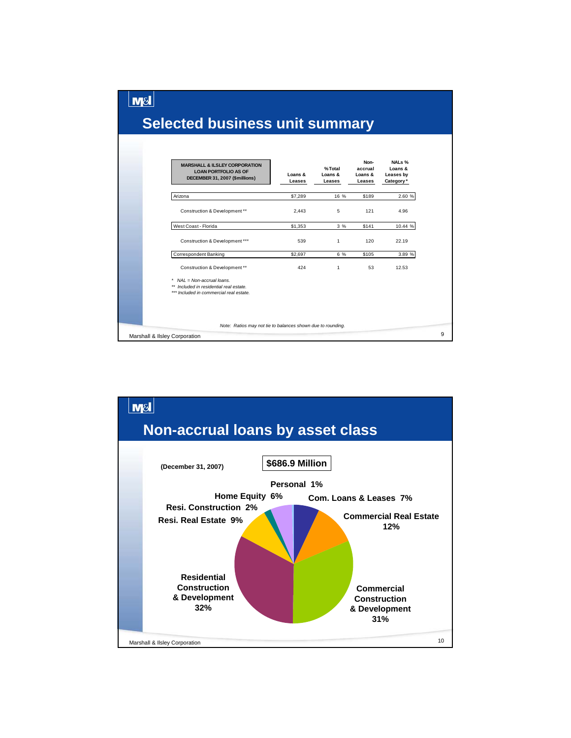## **Selected business unit summary**

 $M<sub>8</sub>$ 

| Loans &<br>Leases | %Total<br>Loans &<br>Leases | accrual<br>Loans &<br>Leases                                | Loans &<br>Leases by<br>Category* |
|-------------------|-----------------------------|-------------------------------------------------------------|-----------------------------------|
| \$7,289           | 16 %                        | \$189                                                       | 2.60 %                            |
| 2,443             | 5                           | 121                                                         | 4.96                              |
| \$1,353           | 3%                          | \$141                                                       | 10.44 %                           |
| 539               | $\mathbf{1}$                | 120                                                         | 22.19                             |
| \$2,697           | 6 %                         | \$105                                                       | 3.89 %                            |
| 424               | 1                           | 53                                                          | 12.53                             |
|                   |                             |                                                             |                                   |
|                   |                             |                                                             |                                   |
|                   |                             | Note: Ratios may not tie to balances shown due to rounding. |                                   |

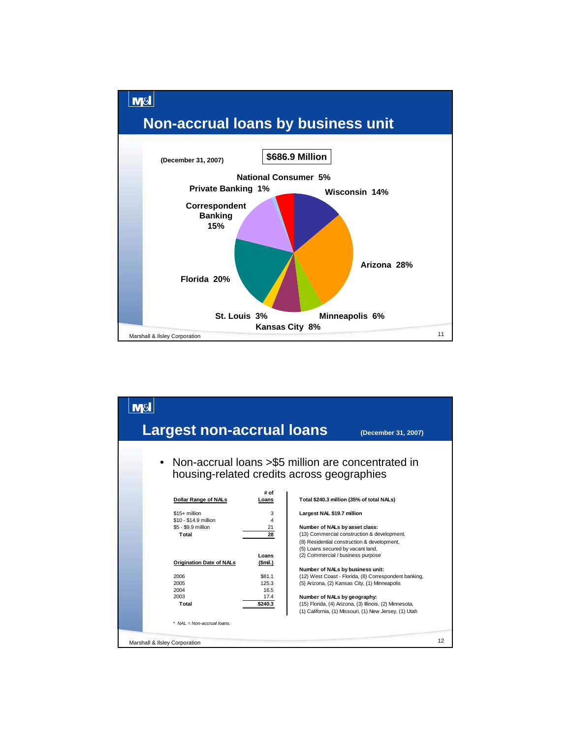

| Largest non-accrual loans                                               |                    |                                                                        | (December 31, 2007)                                                                        |    |
|-------------------------------------------------------------------------|--------------------|------------------------------------------------------------------------|--------------------------------------------------------------------------------------------|----|
| housing-related credits across geographies                              |                    |                                                                        | Non-accrual loans > \$5 million are concentrated in                                        |    |
|                                                                         | # of               |                                                                        |                                                                                            |    |
| <b>Dollar Range of NALs</b>                                             | Loans              |                                                                        | Total \$240.3 million (35% of total NALs)                                                  |    |
| $$15+$ million<br>\$10 - \$14.9 million<br>\$5 - \$9.9 million<br>Total | 3<br>4<br>21<br>28 | Largest NAL \$19.7 million<br>Number of NALs by asset class:           | (13) Commercial construction & development,<br>(8) Residential construction & development, |    |
|                                                                         | I nans             | (5) Loans secured by vacant land,<br>(2) Commercial / business purpose |                                                                                            |    |
| Origination Date of NALs                                                | (Smil.)            |                                                                        |                                                                                            |    |
|                                                                         |                    | Number of NALs by business unit:                                       |                                                                                            |    |
| 2006                                                                    | \$81.1             |                                                                        | (12) West Coast - Florida, (8) Correspondent banking,                                      |    |
| 2005                                                                    | 125.3              |                                                                        | (5) Arizona, (2) Kansas City, (1) Minneapolis                                              |    |
| 2004<br>2003                                                            | 16.5<br>17.4       | Number of NALs by geography:                                           |                                                                                            |    |
| Total                                                                   | \$240.3            |                                                                        | (15) Florida, (4) Arizona, (3) Illinois, (2) Minnesota,                                    |    |
|                                                                         |                    |                                                                        | (1) California, (1) Missouri, (1) New Jersey, (1) Utah                                     |    |
| $NAL = Non-accrual loans.$                                              |                    |                                                                        |                                                                                            |    |
| Marshall & Ilsley Corporation                                           |                    |                                                                        |                                                                                            | 12 |